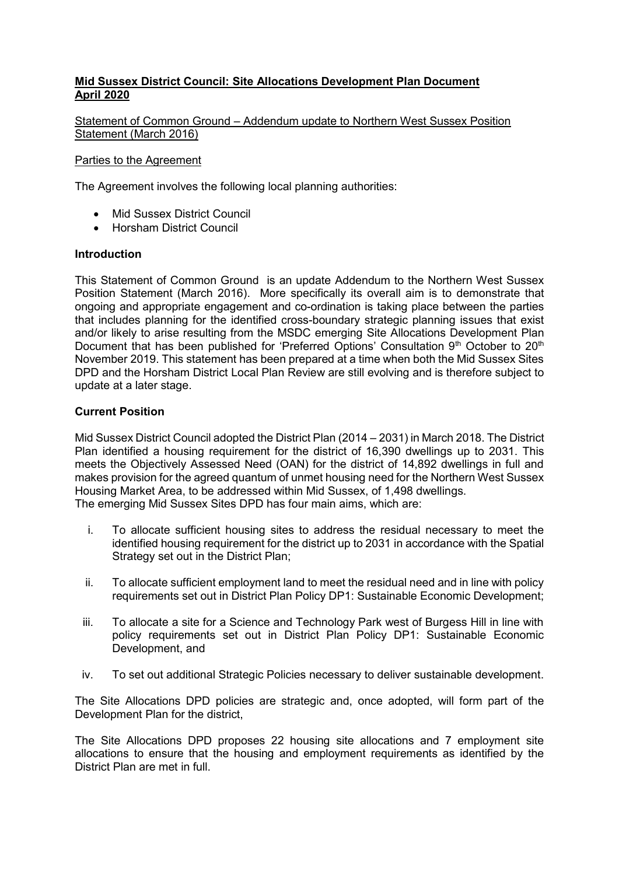# **Mid Sussex District Council: Site Allocations Development Plan Document April 2020**

Statement of Common Ground – Addendum update to Northern West Sussex Position Statement (March 2016)

#### Parties to the Agreement

The Agreement involves the following local planning authorities:

- Mid Sussex District Council
- Horsham District Council

#### **Introduction**

This Statement of Common Ground is an update Addendum to the Northern West Sussex Position Statement (March 2016). More specifically its overall aim is to demonstrate that ongoing and appropriate engagement and co-ordination is taking place between the parties that includes planning for the identified cross-boundary strategic planning issues that exist and/or likely to arise resulting from the MSDC emerging Site Allocations Development Plan Document that has been published for 'Preferred Options' Consultation  $9<sup>th</sup>$  October to  $20<sup>th</sup>$ November 2019. This statement has been prepared at a time when both the Mid Sussex Sites DPD and the Horsham District Local Plan Review are still evolving and is therefore subject to update at a later stage.

#### **Current Position**

Mid Sussex District Council adopted the District Plan (2014 – 2031) in March 2018. The District Plan identified a housing requirement for the district of 16,390 dwellings up to 2031. This meets the Objectively Assessed Need (OAN) for the district of 14,892 dwellings in full and makes provision for the agreed quantum of unmet housing need for the Northern West Sussex Housing Market Area, to be addressed within Mid Sussex, of 1,498 dwellings. The emerging Mid Sussex Sites DPD has four main aims, which are:

- i. To allocate sufficient housing sites to address the residual necessary to meet the identified housing requirement for the district up to 2031 in accordance with the Spatial Strategy set out in the District Plan;
- ii. To allocate sufficient employment land to meet the residual need and in line with policy requirements set out in District Plan Policy DP1: Sustainable Economic Development;
- iii. To allocate a site for a Science and Technology Park west of Burgess Hill in line with policy requirements set out in District Plan Policy DP1: Sustainable Economic Development, and
- iv. To set out additional Strategic Policies necessary to deliver sustainable development.

The Site Allocations DPD policies are strategic and, once adopted, will form part of the Development Plan for the district,

The Site Allocations DPD proposes 22 housing site allocations and 7 employment site allocations to ensure that the housing and employment requirements as identified by the District Plan are met in full.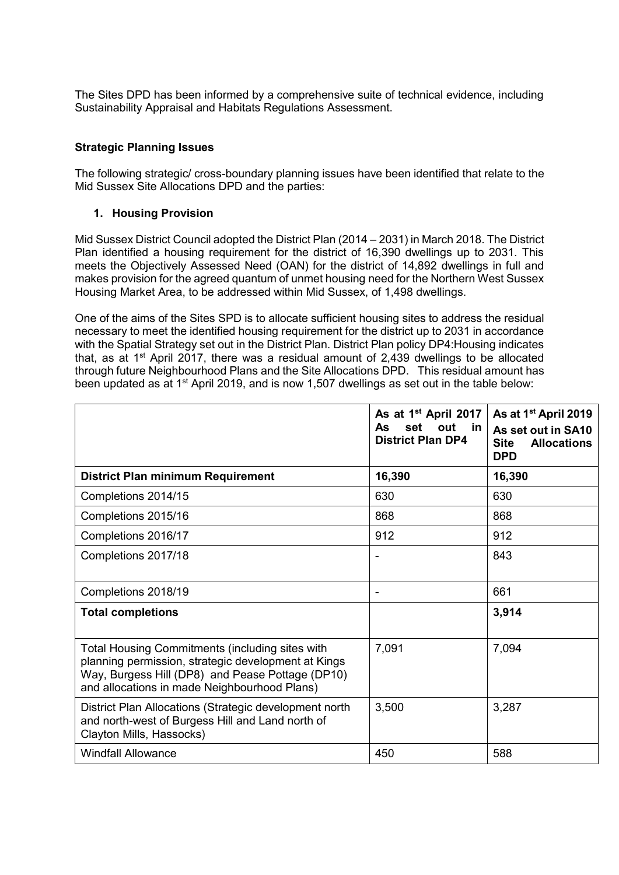The Sites DPD has been informed by a comprehensive suite of technical evidence, including Sustainability Appraisal and Habitats Regulations Assessment.

## **Strategic Planning Issues**

The following strategic/ cross-boundary planning issues have been identified that relate to the Mid Sussex Site Allocations DPD and the parties:

# **1. Housing Provision**

Mid Sussex District Council adopted the District Plan (2014 – 2031) in March 2018. The District Plan identified a housing requirement for the district of 16,390 dwellings up to 2031. This meets the Objectively Assessed Need (OAN) for the district of 14,892 dwellings in full and makes provision for the agreed quantum of unmet housing need for the Northern West Sussex Housing Market Area, to be addressed within Mid Sussex, of 1,498 dwellings.

One of the aims of the Sites SPD is to allocate sufficient housing sites to address the residual necessary to meet the identified housing requirement for the district up to 2031 in accordance with the Spatial Strategy set out in the District Plan. District Plan policy DP4:Housing indicates that, as at  $1<sup>st</sup>$  April 2017, there was a residual amount of 2,439 dwellings to be allocated through future Neighbourhood Plans and the Site Allocations DPD. This residual amount has been updated as at 1<sup>st</sup> April 2019, and is now 1,507 dwellings as set out in the table below:

|                                                                                                                                                                                                            | As at 1 <sup>st</sup> April 2017<br>set<br>out in<br>As.<br><b>District Plan DP4</b> | As at 1 <sup>st</sup> April 2019<br>As set out in SA10<br><b>Site</b><br><b>Allocations</b><br><b>DPD</b> |
|------------------------------------------------------------------------------------------------------------------------------------------------------------------------------------------------------------|--------------------------------------------------------------------------------------|-----------------------------------------------------------------------------------------------------------|
| District Plan minimum Requirement                                                                                                                                                                          | 16,390                                                                               | 16,390                                                                                                    |
| Completions 2014/15                                                                                                                                                                                        | 630                                                                                  | 630                                                                                                       |
| Completions 2015/16                                                                                                                                                                                        | 868                                                                                  | 868                                                                                                       |
| Completions 2016/17                                                                                                                                                                                        | 912                                                                                  | 912                                                                                                       |
| Completions 2017/18                                                                                                                                                                                        |                                                                                      | 843                                                                                                       |
| Completions 2018/19                                                                                                                                                                                        | Ξ.                                                                                   | 661                                                                                                       |
| <b>Total completions</b>                                                                                                                                                                                   |                                                                                      | 3,914                                                                                                     |
| Total Housing Commitments (including sites with<br>planning permission, strategic development at Kings<br>Way, Burgess Hill (DP8) and Pease Pottage (DP10)<br>and allocations in made Neighbourhood Plans) | 7,091                                                                                | 7,094                                                                                                     |
| District Plan Allocations (Strategic development north<br>and north-west of Burgess Hill and Land north of<br>Clayton Mills, Hassocks)                                                                     | 3,500                                                                                | 3,287                                                                                                     |
| <b>Windfall Allowance</b>                                                                                                                                                                                  | 450                                                                                  | 588                                                                                                       |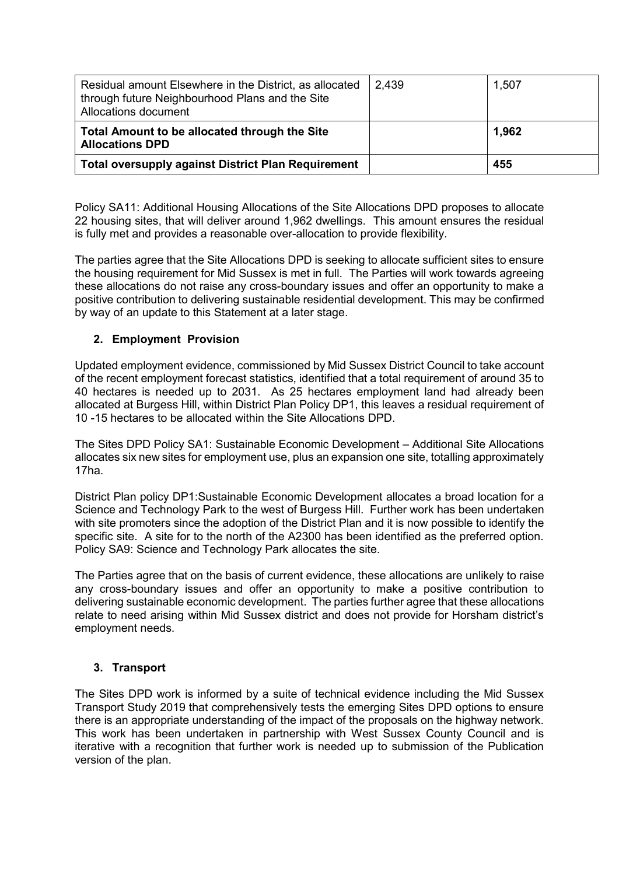| Residual amount Elsewhere in the District, as allocated<br>through future Neighbourhood Plans and the Site<br>Allocations document | 2,439 | 1,507 |
|------------------------------------------------------------------------------------------------------------------------------------|-------|-------|
| Total Amount to be allocated through the Site<br><b>Allocations DPD</b>                                                            |       | 1,962 |
| <b>Total oversupply against District Plan Requirement</b>                                                                          |       | 455   |

Policy SA11: Additional Housing Allocations of the Site Allocations DPD proposes to allocate 22 housing sites, that will deliver around 1,962 dwellings. This amount ensures the residual is fully met and provides a reasonable over-allocation to provide flexibility.

The parties agree that the Site Allocations DPD is seeking to allocate sufficient sites to ensure the housing requirement for Mid Sussex is met in full. The Parties will work towards agreeing these allocations do not raise any cross-boundary issues and offer an opportunity to make a positive contribution to delivering sustainable residential development. This may be confirmed by way of an update to this Statement at a later stage.

# **2. Employment Provision**

Updated employment evidence, commissioned by Mid Sussex District Council to take account of the recent employment forecast statistics, identified that a total requirement of around 35 to 40 hectares is needed up to 2031. As 25 hectares employment land had already been allocated at Burgess Hill, within District Plan Policy DP1, this leaves a residual requirement of 10 -15 hectares to be allocated within the Site Allocations DPD.

The Sites DPD Policy SA1: Sustainable Economic Development – Additional Site Allocations allocates six new sites for employment use, plus an expansion one site, totalling approximately 17ha.

District Plan policy DP1:Sustainable Economic Development allocates a broad location for a Science and Technology Park to the west of Burgess Hill. Further work has been undertaken with site promoters since the adoption of the District Plan and it is now possible to identify the specific site. A site for to the north of the A2300 has been identified as the preferred option. Policy SA9: Science and Technology Park allocates the site.

The Parties agree that on the basis of current evidence, these allocations are unlikely to raise any cross-boundary issues and offer an opportunity to make a positive contribution to delivering sustainable economic development. The parties further agree that these allocations relate to need arising within Mid Sussex district and does not provide for Horsham district's employment needs.

## **3. Transport**

The Sites DPD work is informed by a suite of technical evidence including the Mid Sussex Transport Study 2019 that comprehensively tests the emerging Sites DPD options to ensure there is an appropriate understanding of the impact of the proposals on the highway network. This work has been undertaken in partnership with West Sussex County Council and is iterative with a recognition that further work is needed up to submission of the Publication version of the plan.